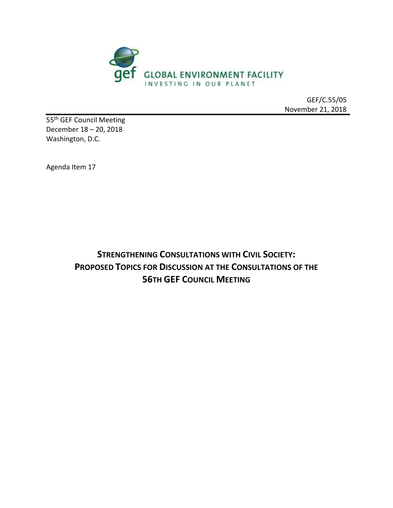

GEF/C.55/05 November 21, 2018

55 th GEF Council Meeting December 18 – 20, 2018 Washington, D.C.

Agenda Item 17

**STRENGTHENING CONSULTATIONS WITH CIVIL SOCIETY: PROPOSED TOPICS FOR DISCUSSION AT THE CONSULTATIONS OF THE 56TH GEF COUNCIL MEETING**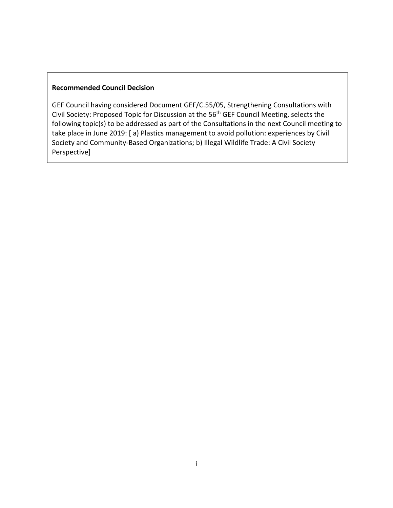#### **Recommended Council Decision**

GEF Council having considered Document GEF/C.55/05, Strengthening Consultations with Civil Society: Proposed Topic for Discussion at the 56<sup>th</sup> GEF Council Meeting, selects the following topic(s) to be addressed as part of the Consultations in the next Council meeting to take place in June 2019: [ a) Plastics management to avoid pollution: experiences by Civil Society and Community-Based Organizations; b) Illegal Wildlife Trade: A Civil Society Perspective]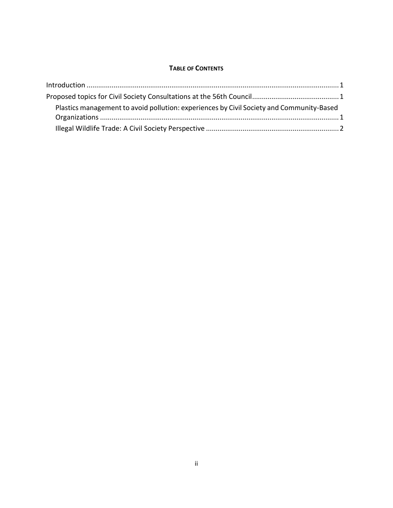#### **TABLE OF CONTENTS**

| Plastics management to avoid pollution: experiences by Civil Society and Community-Based |  |
|------------------------------------------------------------------------------------------|--|
|                                                                                          |  |
|                                                                                          |  |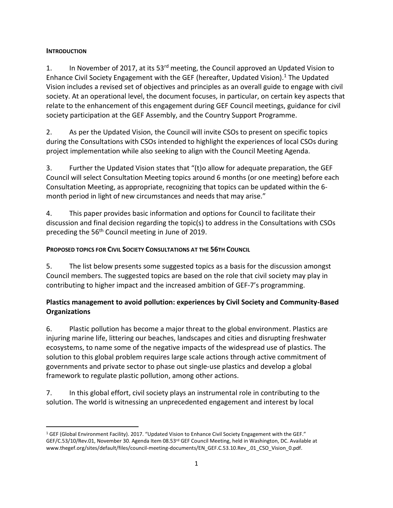#### <span id="page-3-0"></span>**INTRODUCTION**

1. In November of 2017, at its 53<sup>rd</sup> meeting, the Council approved an Updated Vision to Enhance Civil Society Engagement with the GEF (hereafter, Updated Vision).<sup>1</sup> The Updated Vision includes a revised set of objectives and principles as an overall guide to engage with civil society. At an operational level, the document focuses, in particular, on certain key aspects that relate to the enhancement of this engagement during GEF Council meetings, guidance for civil society participation at the GEF Assembly, and the Country Support Programme.

2. As per the Updated Vision, the Council will invite CSOs to present on specific topics during the Consultations with CSOs intended to highlight the experiences of local CSOs during project implementation while also seeking to align with the Council Meeting Agenda.

3. Further the Updated Vision states that "(t)o allow for adequate preparation, the GEF Council will select Consultation Meeting topics around 6 months (or one meeting) before each Consultation Meeting, as appropriate, recognizing that topics can be updated within the 6 month period in light of new circumstances and needs that may arise."

4. This paper provides basic information and options for Council to facilitate their discussion and final decision regarding the topic(s) to address in the Consultations with CSOs preceding the 56<sup>th</sup> Council meeting in June of 2019.

# <span id="page-3-1"></span>**PROPOSED TOPICS FOR CIVIL SOCIETY CONSULTATIONS AT THE 56TH COUNCIL**

5. The list below presents some suggested topics as a basis for the discussion amongst Council members. The suggested topics are based on the role that civil society may play in contributing to higher impact and the increased ambition of GEF-7's programming.

# <span id="page-3-2"></span>**Plastics management to avoid pollution: experiences by Civil Society and Community-Based Organizations**

6. Plastic pollution has become a major threat to the global environment. Plastics are injuring marine life, littering our beaches, landscapes and cities and disrupting freshwater ecosystems, to name some of the negative impacts of the widespread use of plastics. The solution to this global problem requires large scale actions through active commitment of governments and private sector to phase out single-use plastics and develop a global framework to regulate plastic pollution, among other actions.

7. In this global effort, civil society plays an instrumental role in contributing to the solution. The world is witnessing an unprecedented engagement and interest by local

 $\overline{a}$ <sup>1</sup> GEF (Global Environment Facility). 2017. ["Updated Vision to Enhance Civil Society Engagement with the GEF.](https://www.thegef.org/sites/default/files/council-meeting-documents/EN_GEF.C.53.10.Rev_.01_CSO_Vision_0.pdf)" GEF/C.53/10/Rev.01, November 30. Agenda Item 08.53rd GEF Council Meeting, held in Washington, DC. Available at www.thegef.org/sites/default/files/council-meeting-documents/EN\_GEF.C.53.10.Rev\_.01\_CSO\_Vision\_0.pdf.